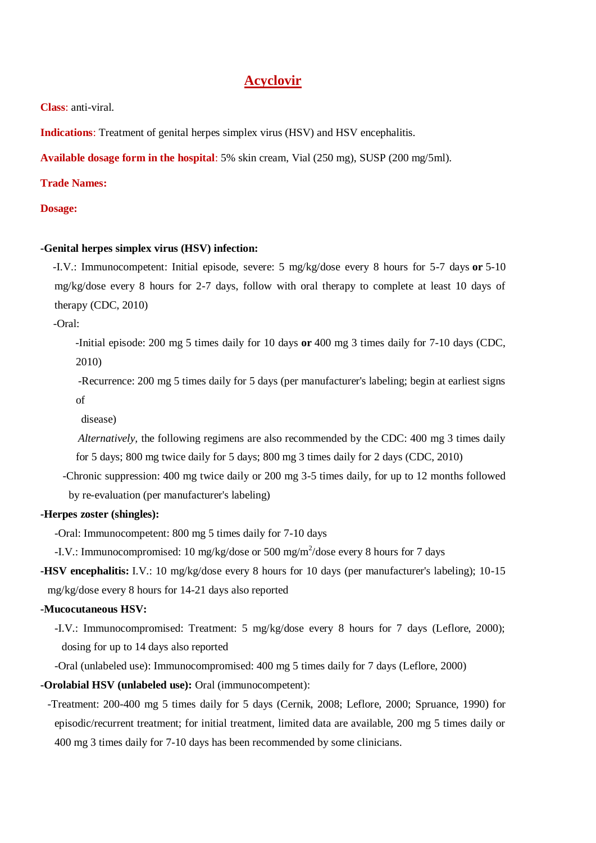# **Acyclovir**

**Class**: anti-viral.

**Indications**: Treatment of genital herpes simplex virus (HSV) and HSV encephalitis.

**Available dosage form in the hospital**: 5% skin cream, Vial (250 mg), SUSP (200 mg/5ml).

**Trade Names:**

#### **Dosage:**

#### **-Genital herpes simplex virus (HSV) infection:**

 -I.V.: Immunocompetent: Initial episode, severe: 5 mg/kg/dose every 8 hours for 5-7 days **or** 5-10 mg/kg/dose every 8 hours for 2-7 days, follow with oral therapy to complete at least 10 days of therapy (CDC, 2010)

-Oral:

 -Initial episode: 200 mg 5 times daily for 10 days **or** 400 mg 3 times daily for 7-10 days (CDC, 2010)

 -Recurrence: 200 mg 5 times daily for 5 days (per manufacturer's labeling; begin at earliest signs of

disease)

 *Alternatively,* the following regimens are also recommended by the CDC: 400 mg 3 times daily for 5 days; 800 mg twice daily for 5 days; 800 mg 3 times daily for 2 days (CDC, 2010)

 -Chronic suppression: 400 mg twice daily or 200 mg 3-5 times daily, for up to 12 months followed by re-evaluation (per manufacturer's labeling)

#### **-Herpes zoster (shingles):**

-Oral: Immunocompetent: 800 mg 5 times daily for 7-10 days

-I.V.: Immunocompromised: 10 mg/kg/dose or 500 mg/m<sup>2</sup>/dose every 8 hours for 7 days

**-HSV encephalitis:** I.V.: 10 mg/kg/dose every 8 hours for 10 days (per manufacturer's labeling); 10-15 mg/kg/dose every 8 hours for 14-21 days also reported

### **-Mucocutaneous HSV:**

-I.V.: Immunocompromised: Treatment: 5 mg/kg/dose every 8 hours for 7 days (Leflore, 2000); dosing for up to 14 days also reported

-Oral (unlabeled use): Immunocompromised: 400 mg 5 times daily for 7 days (Leflore, 2000)

**-Orolabial HSV (unlabeled use):** Oral (immunocompetent):

-Treatment: 200-400 mg 5 times daily for 5 days (Cernik, 2008; Leflore, 2000; Spruance, 1990) for episodic/recurrent treatment; for initial treatment, limited data are available, 200 mg 5 times daily or 400 mg 3 times daily for 7-10 days has been recommended by some clinicians.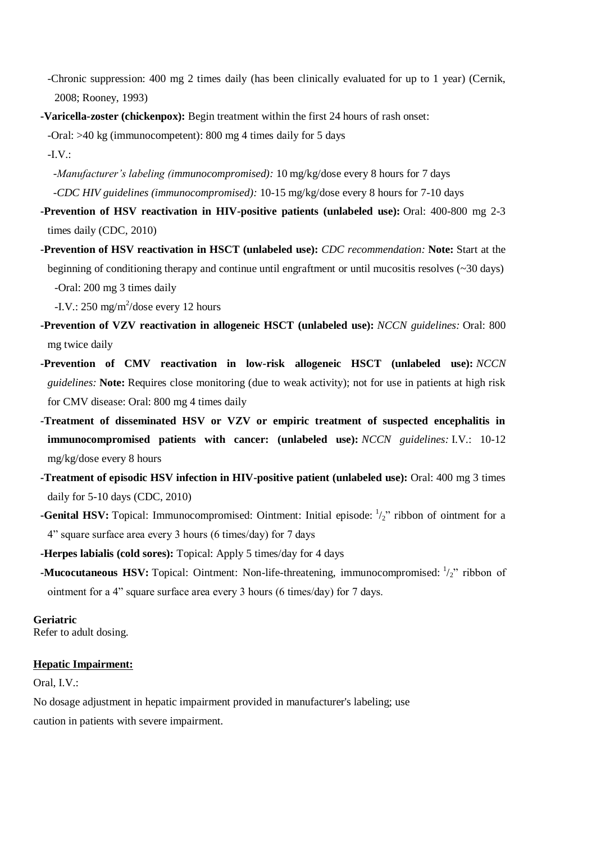-Chronic suppression: 400 mg 2 times daily (has been clinically evaluated for up to 1 year) (Cernik, 2008; Rooney, 1993)

**-Varicella-zoster (chickenpox):** Begin treatment within the first 24 hours of rash onset:

-Oral: >40 kg (immunocompetent): 800 mg 4 times daily for 5 days

-I.V.:

- *-Manufacturer's labeling (immunocompromised):* 10 mg/kg/dose every 8 hours for 7 days  *-CDC HIV guidelines (immunocompromised):* 10-15 mg/kg/dose every 8 hours for 7-10 days
- **-Prevention of HSV reactivation in HIV-positive patients (unlabeled use):** Oral: 400-800 mg 2-3 times daily (CDC, 2010)
- **-Prevention of HSV reactivation in HSCT (unlabeled use):** *CDC recommendation:* **Note:** Start at the beginning of conditioning therapy and continue until engraftment or until mucositis resolves (~30 days) -Oral: 200 mg 3 times daily

 $-L.V.: 250 \text{ mg/m}^2/\text{dose every } 12 \text{ hours}$ 

- **-Prevention of VZV reactivation in allogeneic HSCT (unlabeled use):** *NCCN guidelines:* Oral: 800 mg twice daily
- **-Prevention of CMV reactivation in low-risk allogeneic HSCT (unlabeled use):** *NCCN guidelines:* **Note:** Requires close monitoring (due to weak activity); not for use in patients at high risk for CMV disease: Oral: 800 mg 4 times daily
- **-Treatment of disseminated HSV or VZV or empiric treatment of suspected encephalitis in immunocompromised patients with cancer: (unlabeled use):** *NCCN guidelines:* I.V.: 10-12 mg/kg/dose every 8 hours
- **-Treatment of episodic HSV infection in HIV-positive patient (unlabeled use):** Oral: 400 mg 3 times daily for 5-10 days (CDC, 2010)
- **-Genital HSV:** Topical: Immunocompromised: Ointment: Initial episode:  $\frac{1}{2}$ " ribbon of ointment for a 4" square surface area every 3 hours (6 times/day) for 7 days

**-Herpes labialis (cold sores):** Topical: Apply 5 times/day for 4 days

**-Mucocutaneous HSV:** Topical: Ointment: Non-life-threatening, immunocompromised:  $\frac{1}{2}$ " ribbon of ointment for a 4" square surface area every 3 hours (6 times/day) for 7 days.

**Geriatric**

Refer to adult dosing.

### **Hepatic Impairment:**

Oral, I.V.:

No dosage adjustment in hepatic impairment provided in manufacturer's labeling; use caution in patients with severe impairment.